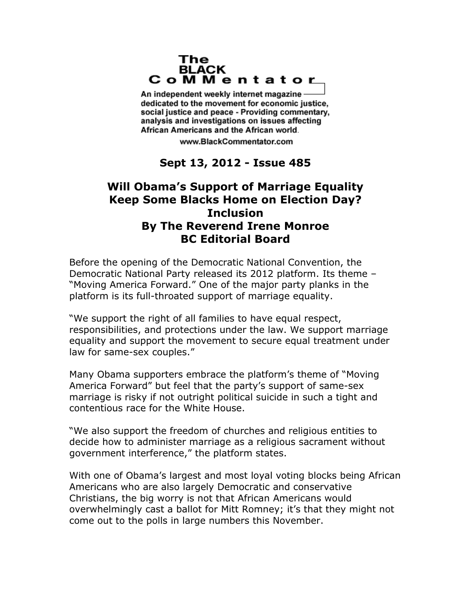## The **BLACK** CoMMentator

An independent weekly internet magazine dedicated to the movement for economic justice. social justice and peace - Providing commentary, analysis and investigations on issues affecting African Americans and the African world.

www.BlackCommentator.com

## **Sept 13, 2012 - Issue 485**

## **Will Obama's Support of Marriage Equality Keep Some Blacks Home on Election Day? Inclusion By The Reverend Irene Monroe BC Editorial Board**

Before the opening of the Democratic National Convention, the Democratic National Party released its 2012 platform. Its theme – "Moving America Forward." One of the major party planks in the platform is its full-throated support of marriage equality.

"We support the right of all families to have equal respect, responsibilities, and protections under the law. We support marriage equality and support the movement to secure equal treatment under law for same-sex couples."

Many Obama supporters embrace the platform's theme of "Moving America Forward" but feel that the party's support of same-sex marriage is risky if not outright political suicide in such a tight and contentious race for the White House.

"We also support the freedom of churches and religious entities to decide how to administer marriage as a religious sacrament without government interference," the platform states.

With one of Obama's largest and most loyal voting blocks being African Americans who are also largely Democratic and conservative Christians, the big worry is not that African Americans would overwhelmingly cast a ballot for Mitt Romney; it's that they might not come out to the polls in large numbers this November.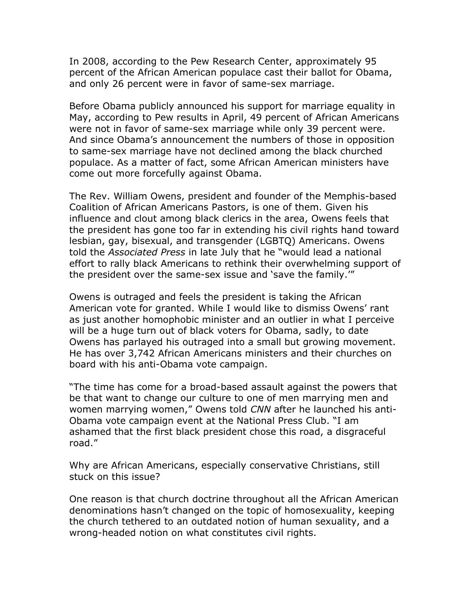In 2008, according to the Pew Research Center, approximately 95 percent of the African American populace cast their ballot for Obama, and only 26 percent were in favor of same-sex marriage.

Before Obama publicly announced his support for marriage equality in May, according to Pew results in April, 49 percent of African Americans were not in favor of same-sex marriage while only 39 percent were. And since Obama's announcement the numbers of those in opposition to same-sex marriage have not declined among the black churched populace. As a matter of fact, some African American ministers have come out more forcefully against Obama.

The Rev. William Owens, president and founder of the Memphis-based Coalition of African Americans Pastors, is one of them. Given his influence and clout among black clerics in the area, Owens feels that the president has gone too far in extending his civil rights hand toward lesbian, gay, bisexual, and transgender (LGBTQ) Americans. Owens told the *Associated Press* in late July that he "would lead a national effort to rally black Americans to rethink their overwhelming support of the president over the same-sex issue and 'save the family.'"

Owens is outraged and feels the president is taking the African American vote for granted. While I would like to dismiss Owens' rant as just another homophobic minister and an outlier in what I perceive will be a huge turn out of black voters for Obama, sadly, to date Owens has parlayed his outraged into a small but growing movement. He has over 3,742 African Americans ministers and their churches on board with his anti-Obama vote campaign.

"The time has come for a broad-based assault against the powers that be that want to change our culture to one of men marrying men and women marrying women," Owens told *CNN* after he launched his anti-Obama vote campaign event at the National Press Club. "I am ashamed that the first black president chose this road, a disgraceful road."

Why are African Americans, especially conservative Christians, still stuck on this issue?

One reason is that church doctrine throughout all the African American denominations hasn't changed on the topic of homosexuality, keeping the church tethered to an outdated notion of human sexuality, and a wrong-headed notion on what constitutes civil rights.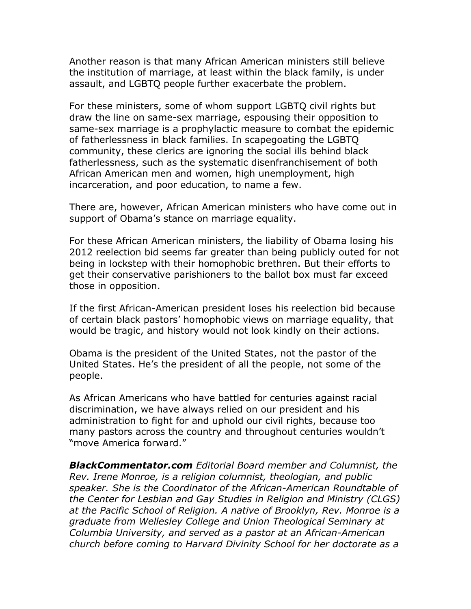Another reason is that many African American ministers still believe the institution of marriage, at least within the black family, is under assault, and LGBTQ people further exacerbate the problem.

For these ministers, some of whom support LGBTQ civil rights but draw the line on same-sex marriage, espousing their opposition to same-sex marriage is a prophylactic measure to combat the epidemic of fatherlessness in black families. In scapegoating the LGBTQ community, these clerics are ignoring the social ills behind black fatherlessness, such as the systematic disenfranchisement of both African American men and women, high unemployment, high incarceration, and poor education, to name a few.

There are, however, African American ministers who have come out in support of Obama's stance on marriage equality.

For these African American ministers, the liability of Obama losing his 2012 reelection bid seems far greater than being publicly outed for not being in lockstep with their homophobic brethren. But their efforts to get their conservative parishioners to the ballot box must far exceed those in opposition.

If the first African-American president loses his reelection bid because of certain black pastors' homophobic views on marriage equality, that would be tragic, and history would not look kindly on their actions.

Obama is the president of the United States, not the pastor of the United States. He's the president of all the people, not some of the people.

As African Americans who have battled for centuries against racial discrimination, we have always relied on our president and his administration to fight for and uphold our civil rights, because too many pastors across the country and throughout centuries wouldn't "move America forward."

*BlackCommentator.com Editorial Board member and Columnist, the Rev. Irene Monroe, is a religion columnist, theologian, and public speaker. She is the Coordinator of the African-American Roundtable of the Center for Lesbian and Gay Studies in Religion and Ministry (CLGS) at the Pacific School of Religion. A native of Brooklyn, Rev. Monroe is a graduate from Wellesley College and Union Theological Seminary at Columbia University, and served as a pastor at an African-American church before coming to Harvard Divinity School for her doctorate as a*